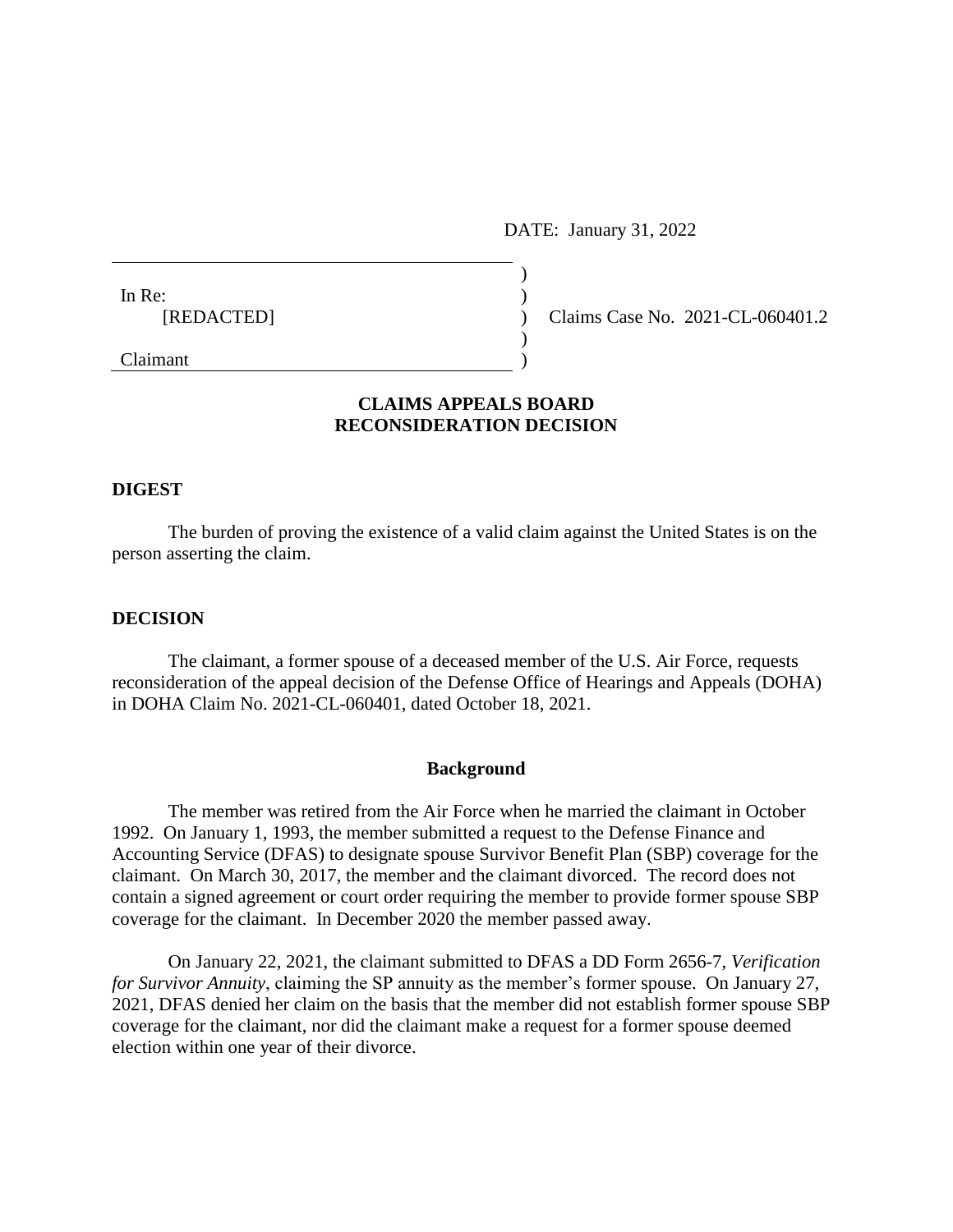DATE: January 31, 2022

| In Re:     |  |
|------------|--|
| [REDACTED] |  |
|            |  |
| $\bigcap$  |  |

(c) Claims Case No. 2021-CL-060401.2

Claimant )

# **CLAIMS APPEALS BOARD RECONSIDERATION DECISION**

### **DIGEST**

The burden of proving the existence of a valid claim against the United States is on the person asserting the claim.

## **DECISION**

The claimant, a former spouse of a deceased member of the U.S. Air Force, requests reconsideration of the appeal decision of the Defense Office of Hearings and Appeals (DOHA) in DOHA Claim No. 2021-CL-060401, dated October 18, 2021.

### **Background**

The member was retired from the Air Force when he married the claimant in October 1992. On January 1, 1993, the member submitted a request to the Defense Finance and Accounting Service (DFAS) to designate spouse Survivor Benefit Plan (SBP) coverage for the claimant. On March 30, 2017, the member and the claimant divorced. The record does not contain a signed agreement or court order requiring the member to provide former spouse SBP coverage for the claimant. In December 2020 the member passed away.

On January 22, 2021, the claimant submitted to DFAS a DD Form 2656-7, *Verification for Survivor Annuity*, claiming the SP annuity as the member's former spouse. On January 27, 2021, DFAS denied her claim on the basis that the member did not establish former spouse SBP coverage for the claimant, nor did the claimant make a request for a former spouse deemed election within one year of their divorce.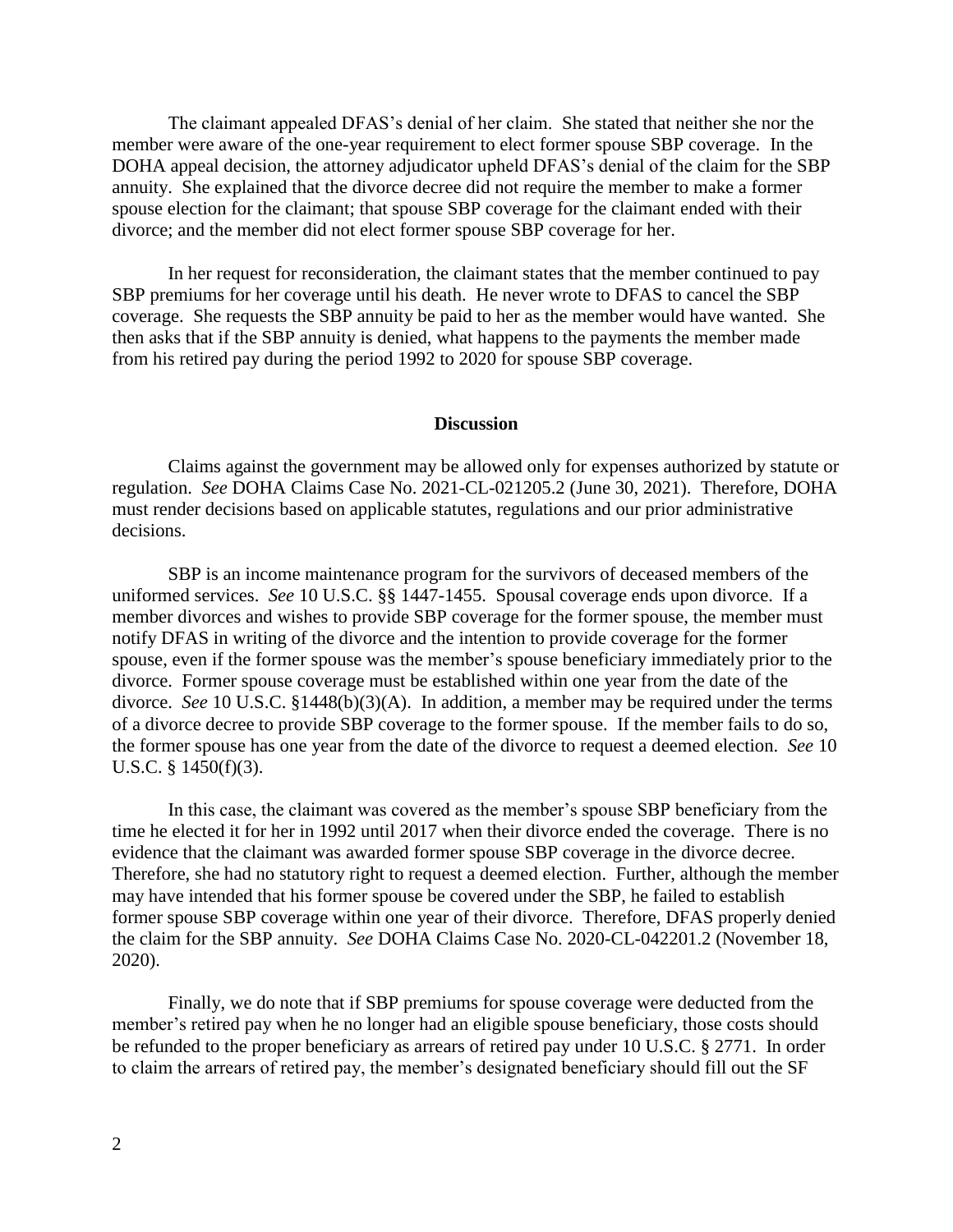The claimant appealed DFAS's denial of her claim. She stated that neither she nor the member were aware of the one-year requirement to elect former spouse SBP coverage. In the DOHA appeal decision, the attorney adjudicator upheld DFAS's denial of the claim for the SBP annuity. She explained that the divorce decree did not require the member to make a former spouse election for the claimant; that spouse SBP coverage for the claimant ended with their divorce; and the member did not elect former spouse SBP coverage for her.

In her request for reconsideration, the claimant states that the member continued to pay SBP premiums for her coverage until his death. He never wrote to DFAS to cancel the SBP coverage. She requests the SBP annuity be paid to her as the member would have wanted. She then asks that if the SBP annuity is denied, what happens to the payments the member made from his retired pay during the period 1992 to 2020 for spouse SBP coverage.

#### **Discussion**

Claims against the government may be allowed only for expenses authorized by statute or regulation. *See* DOHA Claims Case No. 2021-CL-021205.2 (June 30, 2021). Therefore, DOHA must render decisions based on applicable statutes, regulations and our prior administrative decisions.

SBP is an income maintenance program for the survivors of deceased members of the uniformed services. *See* 10 U.S.C. §§ 1447-1455. Spousal coverage ends upon divorce. If a member divorces and wishes to provide SBP coverage for the former spouse, the member must notify DFAS in writing of the divorce and the intention to provide coverage for the former spouse, even if the former spouse was the member's spouse beneficiary immediately prior to the divorce. Former spouse coverage must be established within one year from the date of the divorce. *See* 10 U.S.C. §1448(b)(3)(A). In addition, a member may be required under the terms of a divorce decree to provide SBP coverage to the former spouse. If the member fails to do so, the former spouse has one year from the date of the divorce to request a deemed election. *See* 10 U.S.C. § 1450(f)(3).

In this case, the claimant was covered as the member's spouse SBP beneficiary from the time he elected it for her in 1992 until 2017 when their divorce ended the coverage. There is no evidence that the claimant was awarded former spouse SBP coverage in the divorce decree. Therefore, she had no statutory right to request a deemed election. Further, although the member may have intended that his former spouse be covered under the SBP, he failed to establish former spouse SBP coverage within one year of their divorce. Therefore, DFAS properly denied the claim for the SBP annuity. *See* DOHA Claims Case No. 2020-CL-042201.2 (November 18, 2020).

Finally, we do note that if SBP premiums for spouse coverage were deducted from the member's retired pay when he no longer had an eligible spouse beneficiary, those costs should be refunded to the proper beneficiary as arrears of retired pay under 10 U.S.C. § 2771. In order to claim the arrears of retired pay, the member's designated beneficiary should fill out the SF